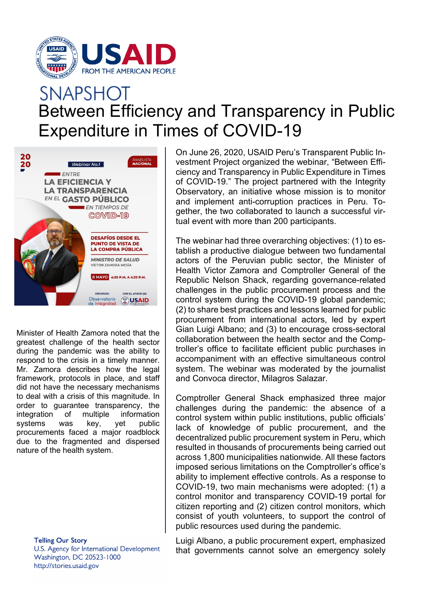

## **SNAPSHOT** Between Efficiency and Transparency in Public Expenditure in Times of COVID-19



Minister of Health Zamora noted that the greatest challenge of the health sector during the pandemic was the ability to respond to the crisis in a timely manner. Mr. Zamora describes how the legal framework, protocols in place, and staff did not have the necessary mechanisms to deal with a crisis of this magnitude. In order to guarantee transparency, the integration of multiple information systems was key, yet public procurements faced a major roadblock due to the fragmented and dispersed nature of the health system.

> **Telling Our Story** U.S. Agency for International Development Washington, DC 20523-1000 http://stories.usaid.gov

On June 26, 2020, USAID Peru's Transparent Public Investment Project organized the webinar, "Between Efficiency and Transparency in Public Expenditure in Times of COVID-19." The project partnered with the Integrity Observatory, an initiative whose mission is to monitor and implement anti-corruption practices in Peru. Together, the two collaborated to launch a successful virtual event with more than 200 participants.

The webinar had three overarching objectives: (1) to establish a productive dialogue between two fundamental actors of the Peruvian public sector, the Minister of Health Victor Zamora and Comptroller General of the Republic Nelson Shack, regarding governance-related challenges in the public procurement process and the control system during the COVID-19 global pandemic; (2) to share best practices and lessons learned for public procurement from international actors, led by expert Gian Luigi Albano; and (3) to encourage cross-sectoral collaboration between the health sector and the Comptroller's office to facilitate efficient public purchases in accompaniment with an effective simultaneous control system. The webinar was moderated by the journalist and Convoca director, Milagros Salazar.

Comptroller General Shack emphasized three major challenges during the pandemic: the absence of a control system within public institutions, public officials' lack of knowledge of public procurement, and the decentralized public procurement system in Peru, which resulted in thousands of procurements being carried out across 1,800 municipalities nationwide. All these factors imposed serious limitations on the Comptroller's office's ability to implement effective controls. As a response to COVID-19, two main mechanisms were adopted: (1) a control monitor and transparency COVID-19 portal for citizen reporting and (2) citizen control monitors, which consist of youth volunteers, to support the control of public resources used during the pandemic.

Luigi Albano, a public procurement expert, emphasized that governments cannot solve an emergency solely